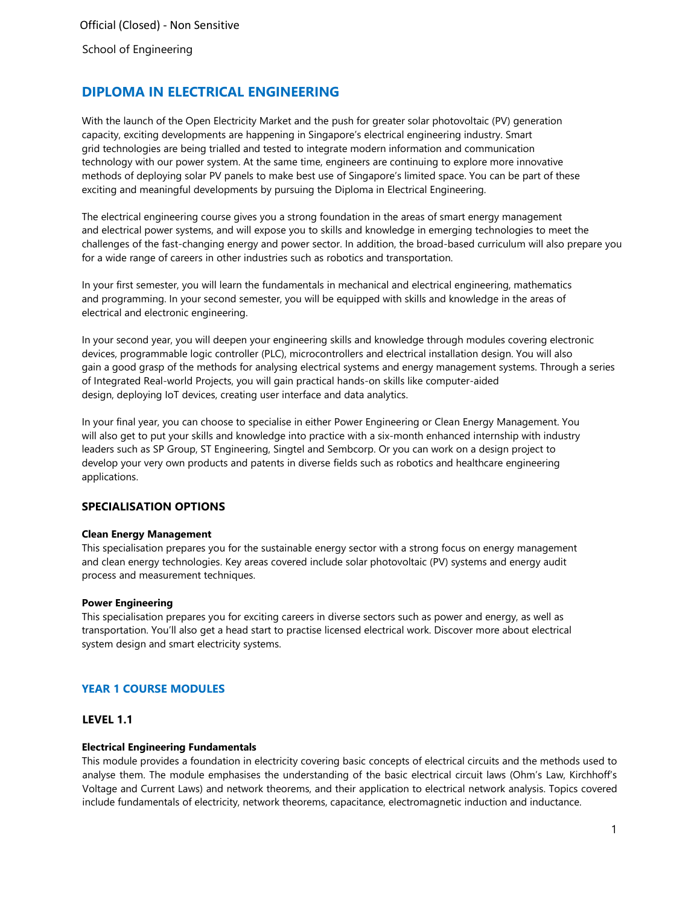# **DIPLOMA IN ELECTRICAL ENGINEERING**

With the launch of the Open Electricity Market and the push for greater solar photovoltaic (PV) generation capacity, exciting developments are happening in Singapore's electrical engineering industry. Smart grid technologies are being trialled and tested to integrate modern information and communication technology with our power system. At the same time, engineers are continuing to explore more innovative methods of deploying solar PV panels to make best use of Singapore's limited space. You can be part of these exciting and meaningful developments by pursuing the Diploma in Electrical Engineering.

The electrical engineering course gives you a strong foundation in the areas of smart energy management and electrical power systems, and will expose you to skills and knowledge in emerging technologies to meet the challenges of the fast-changing energy and power sector. In addition, the broad-based curriculum will also prepare you for a wide range of careers in other industries such as robotics and transportation.

In your first semester, you will learn the fundamentals in mechanical and electrical engineering, mathematics and programming. In your second semester, you will be equipped with skills and knowledge in the areas of electrical and electronic engineering.

In your second year, you will deepen your engineering skills and knowledge through modules covering electronic devices, programmable logic controller (PLC), microcontrollers and electrical installation design. You will also gain a good grasp of the methods for analysing electrical systems and energy management systems. Through a series of Integrated Real-world Projects, you will gain practical hands-on skills like computer-aided design, deploying IoT devices, creating user interface and data analytics.

In your final year, you can choose to specialise in either Power Engineering or Clean Energy Management. You will also get to put your skills and knowledge into practice with a six-month enhanced internship with industry leaders such as SP Group, ST Engineering, Singtel and Sembcorp. Or you can work on a design project to develop your very own products and patents in diverse fields such as robotics and healthcare engineering applications.

# **SPECIALISATION OPTIONS**

### **Clean Energy Management**

This specialisation prepares you for the sustainable energy sector with a strong focus on energy management and clean energy technologies. Key areas covered include solar photovoltaic (PV) systems and energy audit process and measurement techniques.

#### **Power Engineering**

This specialisation prepares you for exciting careers in diverse sectors such as power and energy, as well as transportation. You'll also get a head start to practise licensed electrical work. Discover more about electrical system design and smart electricity systems.

# **YEAR 1 COURSE MODULES**

## **LEVEL 1.1**

### **Electrical Engineering Fundamentals**

This module provides a foundation in electricity covering basic concepts of electrical circuits and the methods used to analyse them. The module emphasises the understanding of the basic electrical circuit laws (Ohm's Law, Kirchhoff's Voltage and Current Laws) and network theorems, and their application to electrical network analysis. Topics covered include fundamentals of electricity, network theorems, capacitance, electromagnetic induction and inductance.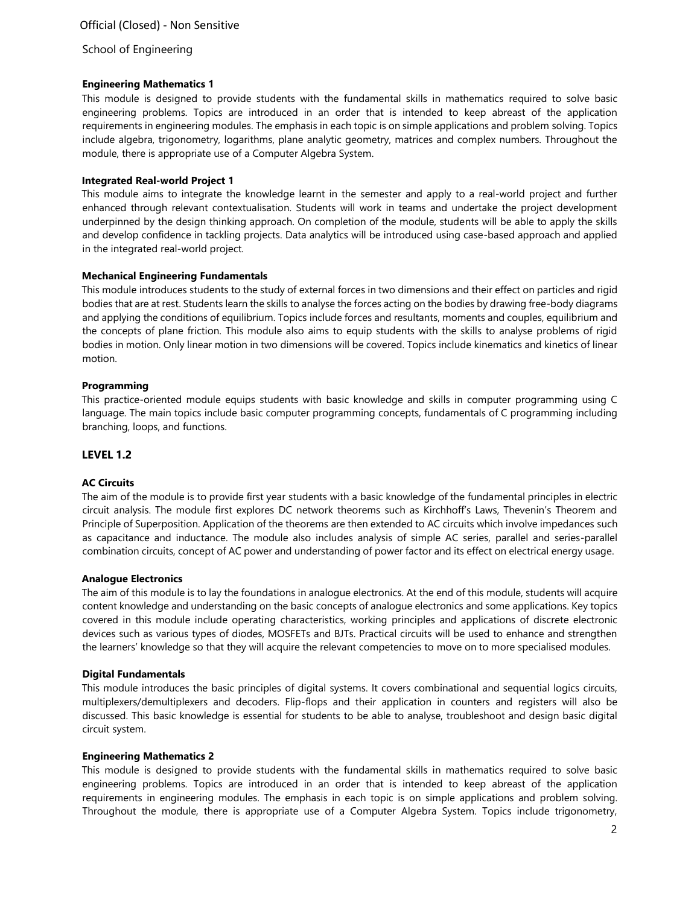# Official (Closed) - Non Sensitive

#### School of Engineering

#### **Engineering Mathematics 1**

This module is designed to provide students with the fundamental skills in mathematics required to solve basic engineering problems. Topics are introduced in an order that is intended to keep abreast of the application requirements in engineering modules. The emphasis in each topic is on simple applications and problem solving. Topics include algebra, trigonometry, logarithms, plane analytic geometry, matrices and complex numbers. Throughout the module, there is appropriate use of a Computer Algebra System.

#### **Integrated Real-world Project 1**

This module aims to integrate the knowledge learnt in the semester and apply to a real-world project and further enhanced through relevant contextualisation. Students will work in teams and undertake the project development underpinned by the design thinking approach. On completion of the module, students will be able to apply the skills and develop confidence in tackling projects. Data analytics will be introduced using case-based approach and applied in the integrated real-world project.

#### **Mechanical Engineering Fundamentals**

This module introduces students to the study of external forces in two dimensions and their effect on particles and rigid bodies that are at rest. Students learn the skills to analyse the forces acting on the bodies by drawing free-body diagrams and applying the conditions of equilibrium. Topics include forces and resultants, moments and couples, equilibrium and the concepts of plane friction. This module also aims to equip students with the skills to analyse problems of rigid bodies in motion. Only linear motion in two dimensions will be covered. Topics include kinematics and kinetics of linear motion.

#### **Programming**

This practice-oriented module equips students with basic knowledge and skills in computer programming using C language. The main topics include basic computer programming concepts, fundamentals of C programming including branching, loops, and functions.

#### **LEVEL 1.2**

#### **AC Circuits**

The aim of the module is to provide first year students with a basic knowledge of the fundamental principles in electric circuit analysis. The module first explores DC network theorems such as Kirchhoff's Laws, Thevenin's Theorem and Principle of Superposition. Application of the theorems are then extended to AC circuits which involve impedances such as capacitance and inductance. The module also includes analysis of simple AC series, parallel and series-parallel combination circuits, concept of AC power and understanding of power factor and its effect on electrical energy usage.

#### **Analogue Electronics**

The aim of this module is to lay the foundations in analogue electronics. At the end of this module, students will acquire content knowledge and understanding on the basic concepts of analogue electronics and some applications. Key topics covered in this module include operating characteristics, working principles and applications of discrete electronic devices such as various types of diodes, MOSFETs and BJTs. Practical circuits will be used to enhance and strengthen the learners' knowledge so that they will acquire the relevant competencies to move on to more specialised modules.

#### **Digital Fundamentals**

This module introduces the basic principles of digital systems. It covers combinational and sequential logics circuits, multiplexers/demultiplexers and decoders. Flip-flops and their application in counters and registers will also be discussed. This basic knowledge is essential for students to be able to analyse, troubleshoot and design basic digital circuit system.

#### **Engineering Mathematics 2**

This module is designed to provide students with the fundamental skills in mathematics required to solve basic engineering problems. Topics are introduced in an order that is intended to keep abreast of the application requirements in engineering modules. The emphasis in each topic is on simple applications and problem solving. Throughout the module, there is appropriate use of a Computer Algebra System. Topics include trigonometry,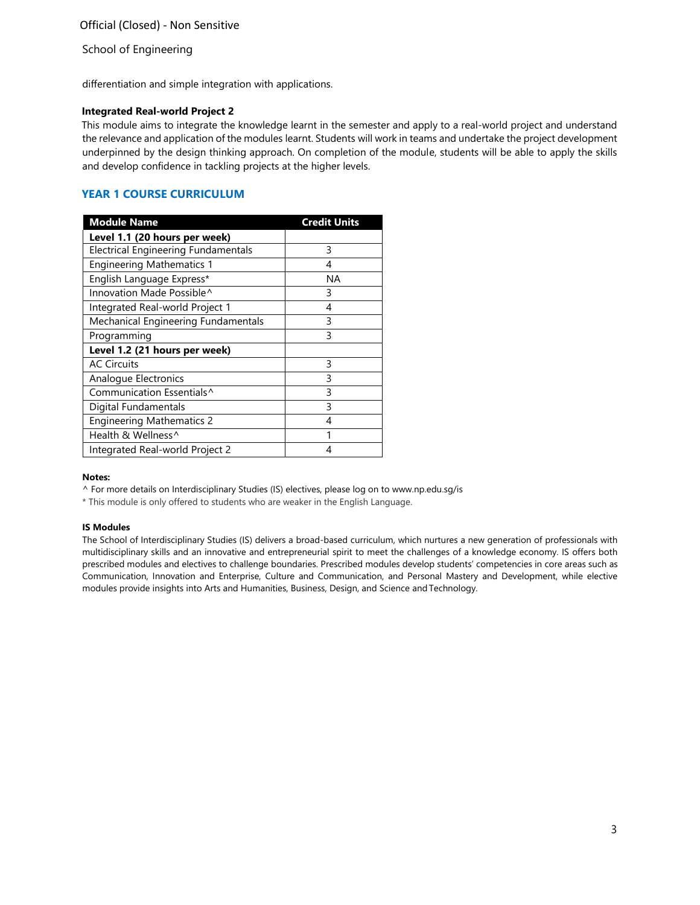School of Engineering

differentiation and simple integration with applications.

#### **Integrated Real-world Project 2**

This module aims to integrate the knowledge learnt in the semester and apply to a real-world project and understand the relevance and application of the modules learnt. Students will work in teams and undertake the project development underpinned by the design thinking approach. On completion of the module, students will be able to apply the skills and develop confidence in tackling projects at the higher levels.

## **YEAR 1 COURSE CURRICULUM**

| <b>Module Name</b>                  | <b>Credit Units</b> |
|-------------------------------------|---------------------|
| Level 1.1 (20 hours per week)       |                     |
| Electrical Engineering Fundamentals | 3                   |
| <b>Engineering Mathematics 1</b>    | 4                   |
| English Language Express*           | ΝA                  |
| Innovation Made Possible^           | 3                   |
| Integrated Real-world Project 1     | 4                   |
| Mechanical Engineering Fundamentals | 3                   |
| Programming                         | ς                   |
| Level 1.2 (21 hours per week)       |                     |
| <b>AC Circuits</b>                  | 3                   |
| Analogue Electronics                | 3                   |
| Communication Essentials^           | ς                   |
| Digital Fundamentals                | 3                   |
| <b>Engineering Mathematics 2</b>    | 4                   |
| Health & Wellness^                  |                     |
| Integrated Real-world Project 2     |                     |

#### **Notes:**

^ For more details on Interdisciplinary Studies (IS) electives, please log on to [www.np.edu.sg/is](http://www.np.edu.sg/is/)

\* This module is only offered to students who are weaker in the English Language.

#### **IS Modules**

The School of Interdisciplinary Studies (IS) delivers a broad-based curriculum, which nurtures a new generation of professionals with multidisciplinary skills and an innovative and entrepreneurial spirit to meet the challenges of a knowledge economy. IS offers both prescribed modules and electives to challenge boundaries. Prescribed modules develop students' competencies in core areas such as Communication, Innovation and Enterprise, Culture and Communication, and Personal Mastery and Development, while elective modules provide insights into Arts and Humanities, Business, Design, and Science and Technology.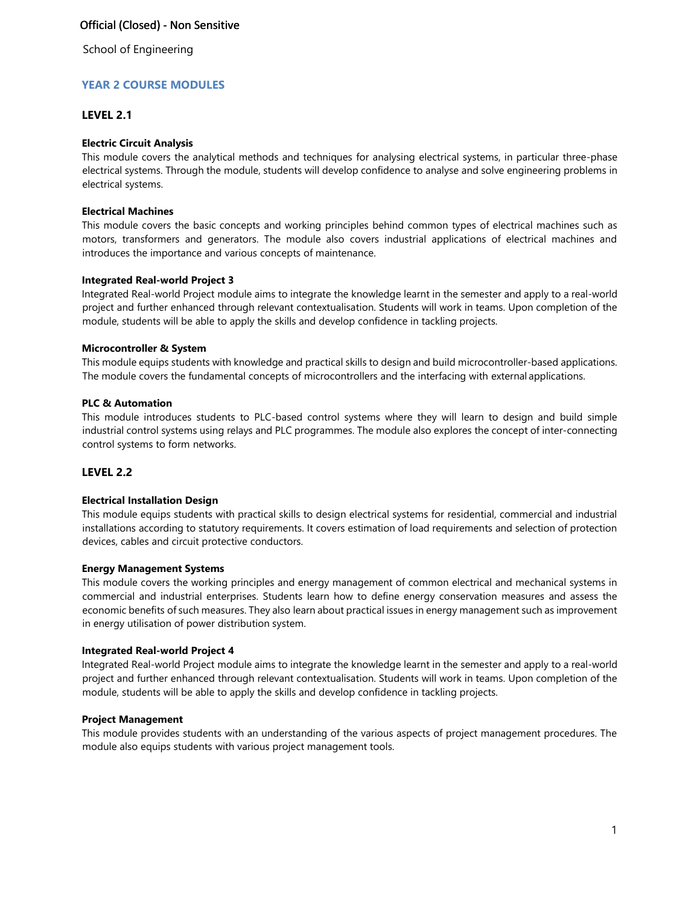# Official (Closed) - Non Sensitive

School of Engineering

## **YEAR 2 COURSE MODULES**

### **LEVEL 2.1**

#### **Electric Circuit Analysis**

This module covers the analytical methods and techniques for analysing electrical systems, in particular three-phase electrical systems. Through the module, students will develop confidence to analyse and solve engineering problems in electrical systems.

#### **Electrical Machines**

This module covers the basic concepts and working principles behind common types of electrical machines such as motors, transformers and generators. The module also covers industrial applications of electrical machines and introduces the importance and various concepts of maintenance.

### **Integrated Real-world Project 3**

Integrated Real-world Project module aims to integrate the knowledge learnt in the semester and apply to a real-world project and further enhanced through relevant contextualisation. Students will work in teams. Upon completion of the module, students will be able to apply the skills and develop confidence in tackling projects.

### **Microcontroller & System**

This module equips students with knowledge and practical skills to design and build microcontroller-based applications. The module covers the fundamental concepts of microcontrollers and the interfacing with external applications.

### **PLC & Automation**

This module introduces students to PLC-based control systems where they will learn to design and build simple industrial control systems using relays and PLC programmes. The module also explores the concept of inter-connecting control systems to form networks.

### **LEVEL 2.2**

#### **Electrical Installation Design**

This module equips students with practical skills to design electrical systems for residential, commercial and industrial installations according to statutory requirements. It covers estimation of load requirements and selection of protection devices, cables and circuit protective conductors.

#### **Energy Management Systems**

This module covers the working principles and energy management of common electrical and mechanical systems in commercial and industrial enterprises. Students learn how to define energy conservation measures and assess the economic benefits of such measures. They also learn about practical issues in energy management such as improvement in energy utilisation of power distribution system.

#### **Integrated Real-world Project 4**

Integrated Real-world Project module aims to integrate the knowledge learnt in the semester and apply to a real-world project and further enhanced through relevant contextualisation. Students will work in teams. Upon completion of the module, students will be able to apply the skills and develop confidence in tackling projects.

#### **Project Management**

This module provides students with an understanding of the various aspects of project management procedures. The module also equips students with various project management tools.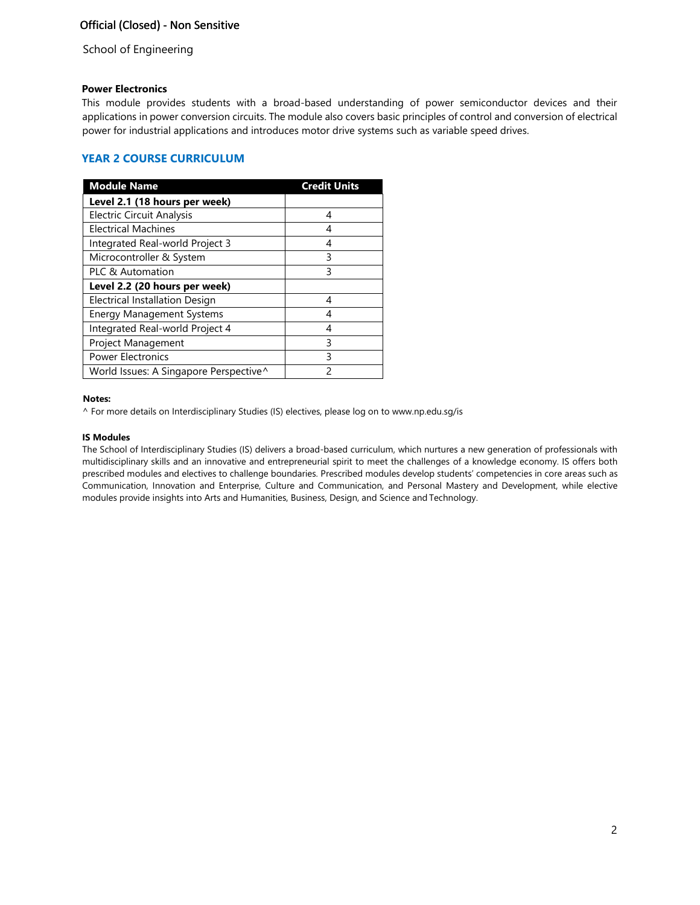# Official (Closed) - Non Sensitive

School of Engineering

### **Power Electronics**

This module provides students with a broad-based understanding of power semiconductor devices and their applications in power conversion circuits. The module also covers basic principles of control and conversion of electrical power for industrial applications and introduces motor drive systems such as variable speed drives.

# **YEAR 2 COURSE CURRICULUM**

| <b>Module Name</b>                     | <b>Credit Units</b> |
|----------------------------------------|---------------------|
| Level 2.1 (18 hours per week)          |                     |
| <b>Electric Circuit Analysis</b>       | 4                   |
| <b>Electrical Machines</b>             | 4                   |
| Integrated Real-world Project 3        | 4                   |
| Microcontroller & System               | 3                   |
| PLC & Automation                       | ς                   |
| Level 2.2 (20 hours per week)          |                     |
| Electrical Installation Design         | 4                   |
| <b>Energy Management Systems</b>       | Δ                   |
| Integrated Real-world Project 4        | 4                   |
| Project Management                     | ς                   |
| <b>Power Electronics</b>               | ς                   |
| World Issues: A Singapore Perspective^ | 2                   |

#### **Notes:**

^ For more details on Interdisciplinary Studies (IS) electives, please log on to [www.np.edu.sg/is](http://www.np.edu.sg/is/)

#### **IS Modules**

The School of Interdisciplinary Studies (IS) delivers a broad-based curriculum, which nurtures a new generation of professionals with multidisciplinary skills and an innovative and entrepreneurial spirit to meet the challenges of a knowledge economy. IS offers both prescribed modules and electives to challenge boundaries. Prescribed modules develop students' competencies in core areas such as Communication, Innovation and Enterprise, Culture and Communication, and Personal Mastery and Development, while elective modules provide insights into Arts and Humanities, Business, Design, and Science and Technology.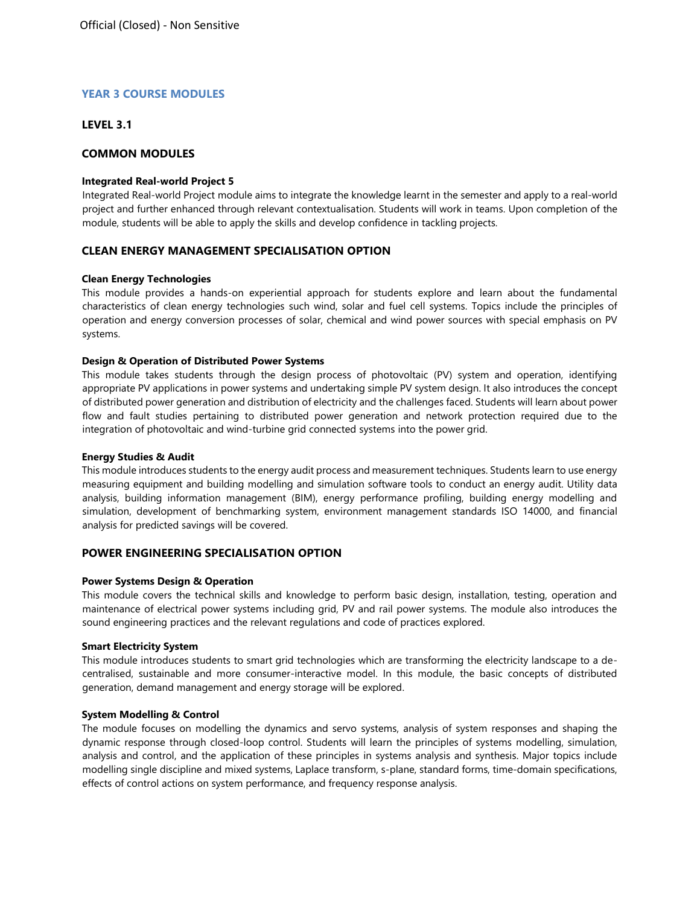## **YEAR 3 COURSE MODULES**

### **LEVEL 3.1**

### **COMMON MODULES**

#### **Integrated Real-world Project 5**

Integrated Real-world Project module aims to integrate the knowledge learnt in the semester and apply to a real-world project and further enhanced through relevant contextualisation. Students will work in teams. Upon completion of the module, students will be able to apply the skills and develop confidence in tackling projects.

### **CLEAN ENERGY MANAGEMENT SPECIALISATION OPTION**

#### **Clean Energy Technologies**

This module provides a hands-on experiential approach for students explore and learn about the fundamental characteristics of clean energy technologies such wind, solar and fuel cell systems. Topics include the principles of operation and energy conversion processes of solar, chemical and wind power sources with special emphasis on PV systems.

#### **Design & Operation of Distributed Power Systems**

This module takes students through the design process of photovoltaic (PV) system and operation, identifying appropriate PV applications in power systems and undertaking simple PV system design. It also introduces the concept of distributed power generation and distribution of electricity and the challenges faced. Students will learn about power flow and fault studies pertaining to distributed power generation and network protection required due to the integration of photovoltaic and wind-turbine grid connected systems into the power grid.

#### **Energy Studies & Audit**

This module introduces students to the energy audit process and measurement techniques. Students learn to use energy measuring equipment and building modelling and simulation software tools to conduct an energy audit. Utility data analysis, building information management (BIM), energy performance profiling, building energy modelling and simulation, development of benchmarking system, environment management standards ISO 14000, and financial analysis for predicted savings will be covered.

## **POWER ENGINEERING SPECIALISATION OPTION**

### **Power Systems Design & Operation**

This module covers the technical skills and knowledge to perform basic design, installation, testing, operation and maintenance of electrical power systems including grid, PV and rail power systems. The module also introduces the sound engineering practices and the relevant regulations and code of practices explored.

#### **Smart Electricity System**

This module introduces students to smart grid technologies which are transforming the electricity landscape to a decentralised, sustainable and more consumer-interactive model. In this module, the basic concepts of distributed generation, demand management and energy storage will be explored.

#### **System Modelling & Control**

The module focuses on modelling the dynamics and servo systems, analysis of system responses and shaping the dynamic response through closed-loop control. Students will learn the principles of systems modelling, simulation, analysis and control, and the application of these principles in systems analysis and synthesis. Major topics include modelling single discipline and mixed systems, Laplace transform, s-plane, standard forms, time-domain specifications, effects of control actions on system performance, and frequency response analysis.